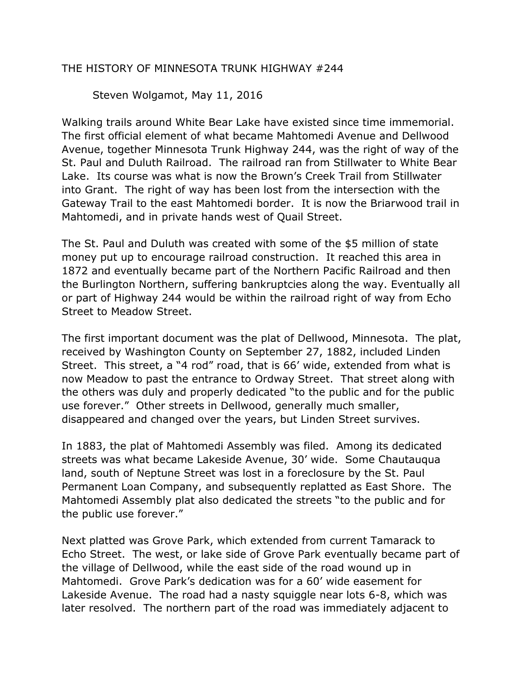## THE HISTORY OF MINNESOTA TRUNK HIGHWAY #244

Steven Wolgamot, May 11, 2016

Walking trails around White Bear Lake have existed since time immemorial. The first official element of what became Mahtomedi Avenue and Dellwood Avenue, together Minnesota Trunk Highway 244, was the right of way of the St. Paul and Duluth Railroad. The railroad ran from Stillwater to White Bear Lake. Its course was what is now the Brown's Creek Trail from Stillwater into Grant. The right of way has been lost from the intersection with the Gateway Trail to the east Mahtomedi border. It is now the Briarwood trail in Mahtomedi, and in private hands west of Quail Street.

The St. Paul and Duluth was created with some of the \$5 million of state money put up to encourage railroad construction. It reached this area in 1872 and eventually became part of the Northern Pacific Railroad and then the Burlington Northern, suffering bankruptcies along the way. Eventually all or part of Highway 244 would be within the railroad right of way from Echo Street to Meadow Street.

The first important document was the plat of Dellwood, Minnesota. The plat, received by Washington County on September 27, 1882, included Linden Street. This street, a "4 rod" road, that is 66' wide, extended from what is now Meadow to past the entrance to Ordway Street. That street along with the others was duly and properly dedicated "to the public and for the public use forever." Other streets in Dellwood, generally much smaller, disappeared and changed over the years, but Linden Street survives.

In 1883, the plat of Mahtomedi Assembly was filed. Among its dedicated streets was what became Lakeside Avenue, 30' wide. Some Chautauqua land, south of Neptune Street was lost in a foreclosure by the St. Paul Permanent Loan Company, and subsequently replatted as East Shore. The Mahtomedi Assembly plat also dedicated the streets "to the public and for the public use forever."

Next platted was Grove Park, which extended from current Tamarack to Echo Street. The west, or lake side of Grove Park eventually became part of the village of Dellwood, while the east side of the road wound up in Mahtomedi. Grove Park's dedication was for a 60' wide easement for Lakeside Avenue. The road had a nasty squiggle near lots 6-8, which was later resolved. The northern part of the road was immediately adjacent to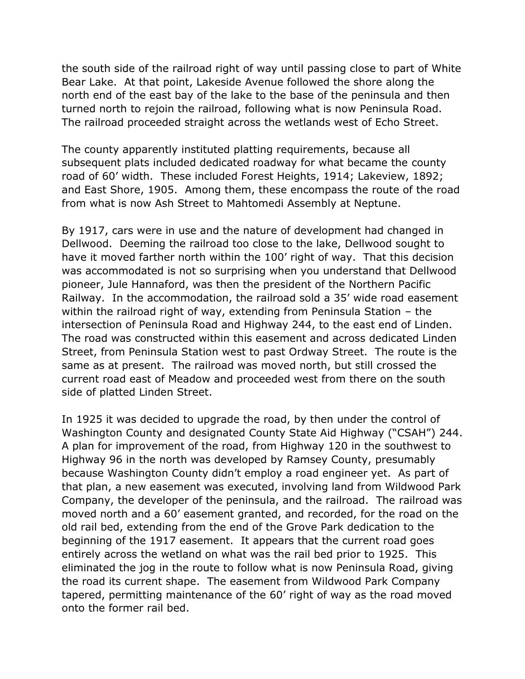the south side of the railroad right of way until passing close to part of White Bear Lake. At that point, Lakeside Avenue followed the shore along the north end of the east bay of the lake to the base of the peninsula and then turned north to rejoin the railroad, following what is now Peninsula Road. The railroad proceeded straight across the wetlands west of Echo Street.

The county apparently instituted platting requirements, because all subsequent plats included dedicated roadway for what became the county road of 60' width. These included Forest Heights, 1914; Lakeview, 1892; and East Shore, 1905. Among them, these encompass the route of the road from what is now Ash Street to Mahtomedi Assembly at Neptune.

By 1917, cars were in use and the nature of development had changed in Dellwood. Deeming the railroad too close to the lake, Dellwood sought to have it moved farther north within the 100' right of way. That this decision was accommodated is not so surprising when you understand that Dellwood pioneer, Jule Hannaford, was then the president of the Northern Pacific Railway. In the accommodation, the railroad sold a 35' wide road easement within the railroad right of way, extending from Peninsula Station – the intersection of Peninsula Road and Highway 244, to the east end of Linden. The road was constructed within this easement and across dedicated Linden Street, from Peninsula Station west to past Ordway Street. The route is the same as at present. The railroad was moved north, but still crossed the current road east of Meadow and proceeded west from there on the south side of platted Linden Street.

In 1925 it was decided to upgrade the road, by then under the control of Washington County and designated County State Aid Highway ("CSAH") 244. A plan for improvement of the road, from Highway 120 in the southwest to Highway 96 in the north was developed by Ramsey County, presumably because Washington County didn't employ a road engineer yet. As part of that plan, a new easement was executed, involving land from Wildwood Park Company, the developer of the peninsula, and the railroad. The railroad was moved north and a 60' easement granted, and recorded, for the road on the old rail bed, extending from the end of the Grove Park dedication to the beginning of the 1917 easement. It appears that the current road goes entirely across the wetland on what was the rail bed prior to 1925. This eliminated the jog in the route to follow what is now Peninsula Road, giving the road its current shape. The easement from Wildwood Park Company tapered, permitting maintenance of the 60' right of way as the road moved onto the former rail bed.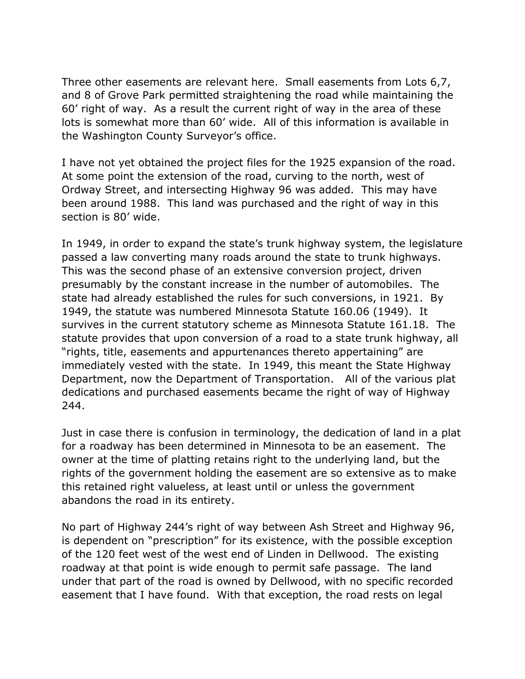Three other easements are relevant here. Small easements from Lots 6,7, and 8 of Grove Park permitted straightening the road while maintaining the 60' right of way. As a result the current right of way in the area of these lots is somewhat more than 60' wide. All of this information is available in the Washington County Surveyor's office.

I have not yet obtained the project files for the 1925 expansion of the road. At some point the extension of the road, curving to the north, west of Ordway Street, and intersecting Highway 96 was added. This may have been around 1988. This land was purchased and the right of way in this section is 80' wide.

In 1949, in order to expand the state's trunk highway system, the legislature passed a law converting many roads around the state to trunk highways. This was the second phase of an extensive conversion project, driven presumably by the constant increase in the number of automobiles. The state had already established the rules for such conversions, in 1921. By 1949, the statute was numbered Minnesota Statute 160.06 (1949). It survives in the current statutory scheme as Minnesota Statute 161.18. The statute provides that upon conversion of a road to a state trunk highway, all "rights, title, easements and appurtenances thereto appertaining" are immediately vested with the state. In 1949, this meant the State Highway Department, now the Department of Transportation. All of the various plat dedications and purchased easements became the right of way of Highway 244.

Just in case there is confusion in terminology, the dedication of land in a plat for a roadway has been determined in Minnesota to be an easement. The owner at the time of platting retains right to the underlying land, but the rights of the government holding the easement are so extensive as to make this retained right valueless, at least until or unless the government abandons the road in its entirety.

No part of Highway 244's right of way between Ash Street and Highway 96, is dependent on "prescription" for its existence, with the possible exception of the 120 feet west of the west end of Linden in Dellwood. The existing roadway at that point is wide enough to permit safe passage. The land under that part of the road is owned by Dellwood, with no specific recorded easement that I have found. With that exception, the road rests on legal